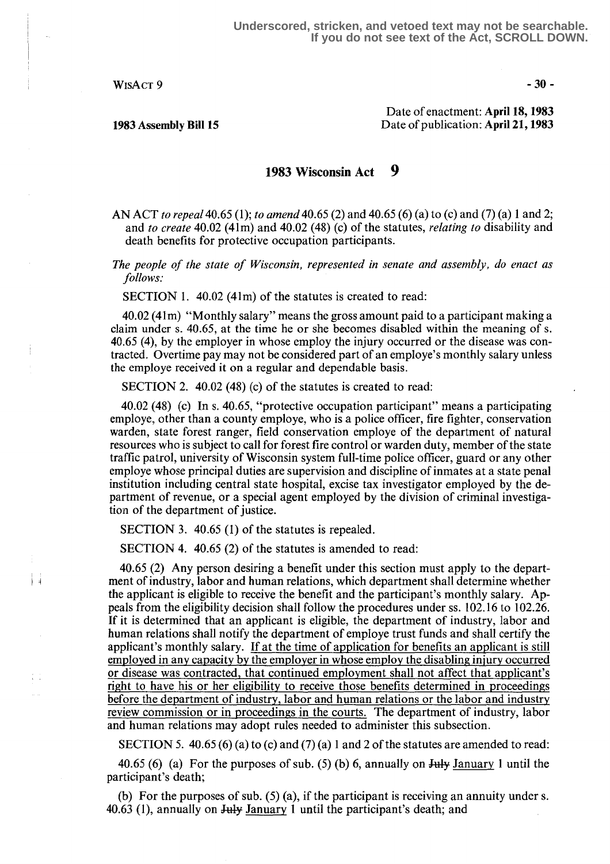$WisAcr9$  -30-

 $\mathbf{H}$ 

 $\frac{1}{4}$  .  $\frac{1}{4}$ 

Date of enactment: April 18,1983 1983 Assembly Bill 15 Date of publication: April 21,1983

## 9 1983 Wisconsin Act

AN ACT to repeal 40.65 (1); to amend 40.65 (2) and 40.65 (6) (a) to (c) and (7) (a) 1 and 2; and to create 40.02 (41m) and 40.02 (48) (c) of the statutes, *relating to* disability and death benefits for protective occupation participants.

The people of the state of Wisconsin, represented in senate and assembly, do enact as follows:

SECTION 1.  $40.02$  (41m) of the statutes is created to read:

40.02 (41m) "Monthly salary" means the gross amount paid to a participant making a claim under s. 40.65, at the time he or she becomes disabled within the meaning of s. 40.65 (4), by the employer in whose employ the injury occurred or the disease was contracted. Overtime pay may not be considered part of an employe's monthly salary unless the employe received it on a regular and dependable basis .

SECTION 2. 40.02 (48) (c) of the statutes is created to read:

40.02 (48) (c) In s. 40 .65, "protective occupation participant" means a participating employe, other than a county employe, who is a police officer, fire fighter, conservation warden, state forest ranger, field conservation employe of the department of natural resources who is subject to call for forest fire control or warden duty, member of the state traffic patrol, university of Wisconsin system full-time police officer, guard or any other employe whose principal duties are supervision and discipline of inmates at a state penal institution including central state hospital, excise tax investigator employed by the department of revenue, or a special agent employed by the division of criminal investigation of the department of justice.

SECTION 3. 40.65 (1) of the statutes is repealed.

SECTION 4. 40.65 (2) of the statutes is amended to read:

40.65 (2) Any person desiring a benefit under this section must apply to the department of industry, labor and human relations, which department shall determine whether the applicant is eligible to receive the benefit and the participant's monthly salary . Appeals from the eligibility decision shall follow the procedures under ss . 102.16 to 102.26. If it is determined that an applicant is eligible, the department of industry, labor and human relations shall notify the department of employe trust funds and shall certify the applicant's monthly salary. If at the time of application for benefits an applicant is still employed in any capacity by the employer in whose employ the disabling injury occurred or disease was contracted, that continued employment shall not affect that applicant's right to have his or her eligibility to receive those benefits determined in proceedings before the department of industry, labor and human relations or the labor and industry review commission or in proceedings in the courts . The department of industry, labor and human relations may adopt rules needed to administer this subsection.

SECTION 5. 40.65 (6) (a) to (c) and (7) (a) 1 and 2 of the statutes are amended to read:

40.65 (6) (a) For the purposes of sub. (5) (b) 6, annually on  $\frac{1}{3}$  January 1 until the participant's death;

(b) For the purposes of sub. (5) (a), if the participant is receiving an annuity under s. 40.63 (1), annually on  $J_{\text{u}}$  January 1 until the participant's death; and